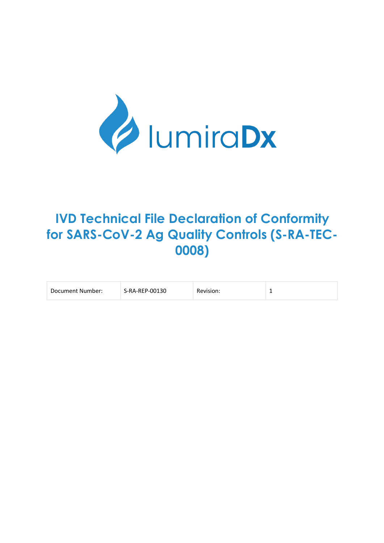

# **IVD Technical File Declaration of Conformity for SARS-CoV-2 Ag Quality Controls (S-RA-TEC-0008)**

| Document Number: | S-RA-REP-00130 | Revision: |  |
|------------------|----------------|-----------|--|
|------------------|----------------|-----------|--|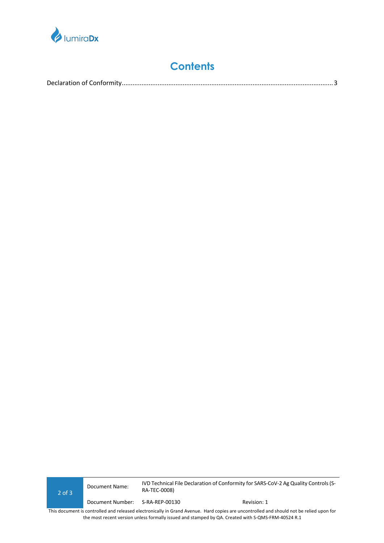

# **Contents**

|--|

2 of 3 **IVD Technical File Declaration of Conformity for SARS-CoV-2 Ag Quality Controls (S-**<br>Document Name: 2.1 Technical File Declaration of Conformity for SARS-CoV-2 Ag Quality Controls (S-RA-TEC-0008) Document Number: S-RA-REP-00130 Revision: 1

This document is controlled and released electronically in Grand Avenue. Hard copies are uncontrolled and should not be relied upon for the most recent version unless formally issued and stamped by QA. Created with S-QMS-FRM-40524 R.1